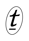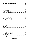# **The Text Publishing Company**

### **Frankfurt Rights Guide 2021**

![](_page_1_Picture_2.jpeg)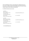### **The Text Publishing Company acknowledges the Traditional Owners of the country on which we work, the Wurundjeri people of the Kulin Nation, and pays respect to their Elders past and present.**

### **For additional information, please contact:**

| Lara Shprem                          |                                   |  |
|--------------------------------------|-----------------------------------|--|
| Rights Coordinator                   |                                   |  |
| The Text Publishing Company          | lara.shprem@textpublishing.com.au |  |
| Wurundjeri Country                   |                                   |  |
| Level 6, Royal Bank Chambers         |                                   |  |
| 287 Collins Street                   | tel: $+61386104511$               |  |
| Melbourne Victoria 3000 Australia    |                                   |  |
|                                      |                                   |  |
| Anne Beilby                          |                                   |  |
| <b>Rights and Contracts Director</b> |                                   |  |
| The Text Publishing Company          | anne.beilby@textpublishing.com.au |  |
| Wurundjeri Country                   |                                   |  |
| Level 6, Royal Bank Chambers         |                                   |  |
| 287 Collins Street                   | tel: $+61386104535$               |  |
| Melbourne Victoria 3000 Australia    |                                   |  |

### **www.textpublishing.com.au**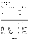## **Recent Acquisitions**

### **Children and Young Adult**

| Boyle, Alice        | Dancing Barefoot            | World                    | Author                             |
|---------------------|-----------------------------|--------------------------|------------------------------------|
| King, A.S.          | Switch                      | UK & Comm excl<br>Canada | Penguin Random House<br><b>USA</b> |
| Kelly, Erin Entrada | Those Kids from Fawn Creek  | UK & Comm excl<br>Canada | Rights People UK                   |
| Sheppard, Holden    | The Brink                   | World                    | Left Bank Literary                 |
| Sheppard, Holden    | <b>Nullarbor Brothers</b>   | World                    | Left Bank Literary                 |
| Thompson, Lin       | The Best Liars in Riverview | UK & Comm excl<br>Canada | Hachette Book Group USA            |
| Webster, Allayne    | Selfie                      | World                    | Jane Novak Literary Agency         |

### **Adult**

| Borrell, Brendan       | The First Shots                       | UK & Comm excl<br>Canada | AM Heath                                    |
|------------------------|---------------------------------------|--------------------------|---------------------------------------------|
| Caddy, Meg             | Slipping the Noose                    | World                    | Author                                      |
| Cotter, Andrew         | Dog Days: A Year with Olive and Mabel | <b>ANZ</b>               | Black & White                               |
| Del Amo, Jean-Baptiste | Le Fils de L'homme                    | <b>ANZ</b>               | <b>RCW Literary Agency</b>                  |
| Down, Jennifer         | Untitled collection of stories        | World                    | Author                                      |
| Grenville, Kate        | Elizabeth Macarthur's Letters         | World                    | Jane Novak Literary Agency                  |
| Hendrick, Kate         | Fish out of Water                     | World                    | Author                                      |
| Jinks, Catherine       | Untitled novel                        | World                    | Margaret Connolly &<br>Associates           |
| Jones, Kimberly        | How We Can Win                        | UK & Comm excl<br>Canada | Farrar, Straus and Giroux                   |
| Jones, Lloyd           | The Fish                              | World                    | Author                                      |
| Kenwood, Nina          | Unnecessary Drama                     | World                    | Author                                      |
| Kenwood, Nina          | Untitled novel                        | World                    | Author                                      |
| Malcolm, Janet         | Pictures                              | <b>ANZ</b>               | Farrar, Straus and Giroux                   |
| Meyer, Marissa (ed.)   | Serendipity                           | <b>ANZ</b>               | <b>Jill Grinberg Literary</b><br>Management |
| Meyer, Marissa         | Gilded duology                        | <b>ANZ</b>               | <b>Jill Grinberg Literary</b><br>Management |
| Saeed, Aisha           | <b>Omar Rising</b>                    | UK & Comm excl<br>Canada | Penguin Random House<br><b>USA</b>          |
| Tokarczuk, Olga        | The Books of Jacob                    | ANZ                      | <b>RCW Literary Agency</b>                  |
| Williams, Sue          | To Grill a Mockingbird                | World                    | Author                                      |
| Woodland, Greg         | The Carnival Is Over                  | World                    | Melanie Ostell Literary                     |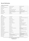## **Recent Publications**

### **Children and Young Adult**

| Arnold, David                 | The Electric Kingdom                                                                | <b>Writers House USA</b>                                          |
|-------------------------------|-------------------------------------------------------------------------------------|-------------------------------------------------------------------|
| Gale, Emily and Weetman, Nova | Elsewhere Girls                                                                     | Authors                                                           |
| Hall, Leanne                  | The Gaps                                                                            | Author                                                            |
| He, Joan                      | The Ones We're Meant to Find                                                        | <b>Rights People</b>                                              |
| Laguna, Ingrid                | Bailey Finch Takes a Stand                                                          | Curtis Brown Australia                                            |
| Obama, Barack                 | Dreams From My Father: Adapted for Young Adults:<br>A Story of Race and Inheritance | Abner Stein in association with Dystel,<br>Goderich & Bourret LLC |
| Paterson, Andrew              | Rainfish                                                                            | Author                                                            |
| Pitt, Darrell                 | <b>Balloon Girls</b>                                                                | Author                                                            |

### **Adult**

| Barbery, Muriel                 | A Single Rose                                                                       | Actes Sud                                                                |
|---------------------------------|-------------------------------------------------------------------------------------|--------------------------------------------------------------------------|
| Burnet, Graeme Macrae           | Case Study                                                                          | Blake Friedmann Literary Agency Ltd                                      |
| Down, Jennifer                  | <b>Bodies of Light</b>                                                              | Author                                                                   |
| Ellmann, Lucy                   | Things Are Against Us                                                               | <b>Galley Beggar Press</b>                                               |
| Fenster, Gigi                   | A Good Winter                                                                       | High Spot Literary                                                       |
| Hall, Steven                    | Maxwell's Demon                                                                     | Canongate                                                                |
| Hillman, Robert                 | The Bride of Almond Tree                                                            | Jacinta di Mase Management                                               |
| Jennings, Karen                 | An Island                                                                           | <b>Holland House Books</b>                                               |
| Jinks, Catherine                | The Attack                                                                          | Margaret Connolly & Associates                                           |
| Low, Nic                        | Uprising                                                                            | Author                                                                   |
| McCourt, Suzanne                | The Tulip Tree                                                                      | Author                                                                   |
| Ozeki, Ruth                     | The Book of Form and Emptiness                                                      | Abner Stein in association with The<br>Friedrich Agency                  |
| Rothwell, Nicolas               | Red Heaven                                                                          | Margaret Connolly & Associates                                           |
| Rowell, Simon                   | The Long Game                                                                       | Author                                                                   |
| Sentilles, Sarah                | Stranger Care                                                                       | Penguin Random House USA                                                 |
| Simsion, Graeme and Buist, Anne | Two Steps Onward                                                                    | Authors                                                                  |
| Suiter Clarke, Amy              | Girl, 11                                                                            | Abner Stein in association with Dystel,<br>Goderich & Bourret LLC        |
| Widder, Edith                   | Below the Edge of Darkness: A Memoir of Exploring<br>Light and Life in the Deep Sea | Abner Stein in association with Chase                                    |
| Wilson, Kevin                   | Tunneling to the Center of the Earth                                                | Literary Agency LLC<br>Abner Stein in association with The Book<br>Group |
| Yan, Lianke                     | Hard Like Water                                                                     | The Susijn Agency                                                        |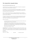## *The Labyrinth* **by Amanda Lohrey**

### **Winner of the 2021 Miles Franklin Literary Award**

A profound novel by one of Australia's most admired authors, *The Labyrinth* is a moving tale of solitude, community and the possibility of starting over.

Erica Marsden's son, an artist, has been imprisoned for homicidal negligence. In a state of grief, Erica cuts off all ties to family and friends, and retreats to a quiet hamlet on the south-east coast near the prison where he is serving his sentence.

There, in a rundown shack, she obsesses over creating a labyrinth by the ocean. To build it—to find a way out of her quandary—Erica will need the help of strangers. And that will require her to trust, and to reckon with her past.

*The Labyrinth* is a hypnotic story of guilt and denial, of the fraught relationship between parents and children, and a meditation on how art can both be both ruthlessly destructive and restore sanity. It shows Amanda Lohrey to be at the peak of her powers.

Praise for *The Labyrinth*:

'A nuanced and engrossing novel of bread and bones broken, the trace and rack of violence, and threads that lead the way out of exile.' *Saturday Paper*

'A deeply meditative book…Beautifully layered, rich in imagery and meaning, without ever being laboured… It is a sharply tuned novel, a sprawling narrative that resists rigid expectations, instead allowing those who inhabit the pages to surrender themselves to the mode of "reversible destiny" that it is constructed around.' *Guardian*

'My novel of the year, full stop.' *Australian*

**Amanda Lohrey** lives in Tasmania and writes fiction and non-fiction. She has taught at various universities and is a regular contributor to the *Monthly* magazine. Her previous novels include *Vertigo*, *Camille's Bread* and *The Morality of Gentlemen*. In 2012 she received the Patrick White Award for literature.

**Rights Held:** World

Fiction | August 2020 | Finished pages available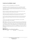## *Limberlost* **by Robbie Arnott**

A brilliant new novel by one of the brightest stars of Australian fiction.

In a small valley, a river flows and a boy becomes a man. Far away, a devastating war is being waged but here seasons pass, an orchard bears fruit and an array of animals—some ordinary, some strange—come and go. The land on which Ned and his family live offers a cycle of death and rebirth, feast and famine.

In Ned's eyes, heroism and carefully measured violence are part of what it means to be a man. Kindness is a silent thing, a matter of small actions not discussed.

While Ned waits and hopes for his brothers to return from service overseas, he works ever more intently shooting rabbits and selling their pelts to buy himself the means to sail the river.

Ned's life is marked with changes: he shrugs off youth and falls in love; later, he learns about loss. This is a book that captures the splendour of life and the wonder of the moments that define a person.

*Limberlost* is a story of fathers and sons, the animals we kill and those we care for, and the mysterious allure of things we don't understand.

**Robbie Arnott** was a 2019 *Sydney Morning Herald* Best Young Novelist and won the Margaret Scott Prize in the 2019 Tasmanian Premier's Literary Prizes. His widely acclaimed debut, *Flames* (2018), was shortlisted for a Victorian Premier's Literary Award, a New South Wales Premier's Literary Award, a Queensland Literary Award, the Readings Prize for New Australian Fiction and Not the Booker Prize. His second novel, *The Rain Heron*, was published to rave reviews in 2020, was shortlisted for the 2021 Miles Franklin Literary Award and won the 2021 *Age* Book of the Year. He lives in Hobart.

**Rights Held:** World **Rights Sold:** UK and Comm. (ex. ANZ and Canada)—Atlantic **Option Publishers:** France—Actes Sud; Norway—Cappelen Damm Fiction | October 2022 | Manuscript available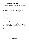## *The Way It Is Now* **by Garry Disher**

Set in a beach-shack town an hour from Melbourne, *The Way It Is Now* tells the story of a burnt-out cop named Charlie Deravin.

Charlie is living in his family's holiday house, on forced leave since he made a mess of things at work.

Things have never been easy for Charlie. Twenty years earlier his mother went missing in the area, believed murdered. His father has always been the main suspect, though her body was never found.

Until now: the foundations are being dug for a new house on a vacant block. The skeletal remains of a child and an adult are found—and Charlie's past comes crashing in on him.

*The Way It Is Now* is the enthralling new novel by Garry Disher, one of Australia's most loved and celebrated crime writers.

Praise for Garry Disher:

'Smooth, assured mastery. ' *New York Times Book Review on Bitter Wash Road*

'Peter Temple and Garry Disher will be identified as the crime writers who redefined Australian crime fiction in terms of its form, content and style. *' Sydney Morning Herald* on *Peace*

'Disher is one the foremost proponents of rural noir' *Sunday Times* on *Consolation*

**Garry Disher** has published fifty titles across multiple genres. He has won multiple German Crime Fiction and Ned Kelly awards, including the Ned Kelly Lifetime Achievement Award. In 2021 his previous novel *Consolation* won the Ned Kelly Award for Best Crime Fiction.

**Rights Held:** World **Rights Sold:** UK and Comm. (ex. ANZ and Canada)—Profile Fiction November 2021 Finished pages available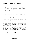## *After You Were Gone* **by Vikki Wakefield**

*Not knowing was like living inside a well with slippery sides and the occasional crack between stones, a foothold, a scrabbling place…That damned pink dress Sarah was wearing. I tortured myself, going over the things I could have changed if I had been paying attention…After Sarah was gone, I still yearned for answers. I moved on, but I'd built my house around the well. While I was busy living, it sank deeper; the distance was greater, the light dimmer. This time the climb might be impossible, but I had no choice—I let myself fall.*

*My life is a story in two parts. Before. After.*

What happens to a family when a child goes missing? How far would you go to learn the truth?

In a busy street market, Abbie lets go of six-year-old Sarah's hand. She isn't a bad mother, just exhausted. When she turns around, her daughter isn't there. After a full-scale search and a highprofile investigation, there is still no trace of Sarah.

Six years later, Abbie is in love and getting married. Her family, despite their problems, have seen her through her worst imaginings—only Abbie's mother seems unwilling to let her move on. Her fragile peace is constantly threatened: not knowing what happened to Sarah is like living with a curse.

Then a phone call from an unknown number offers closure. A man claims to know what happened to Sarah, but if Abbie tells anyone or fails to follow instructions, she'll never find out. What price must Abbie pay to know the truth?

**Vikki Wakefield** writes fiction for young adults and adults. Her books explore family, class and relationships in a contemporary setting. Her novels *All I Ever Wanted, Friday Brown, Inbetween Days and Ballad for a Mad Girl* have been shortlisted for numerous awards. *This Is How We Change the Ending* won Book of the Year: Older Readers, Children's Book Council Awards, 2020. *After You Were Gone* is her first novel for adults.

### **Rights Held:** World

Fiction September 2022 Manuscript available March 2022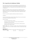## *The Competition* **by Katherine Collette**

Frances quite honestly isn't that excited about the SpeechMakers annual national conference and public-speaking competition. What she's excited about (relatively speaking) is that this year there's a major prize. Frances has a few small problems and forty thousand dollars would go a long way to sorting them out.

Keith is Frances's probably-ex-mentor, it's hard to tell since she's not talking to him, and he disapproves of the prize money. He thinks SpeechMakers should be about self-improvement, not self-enrichment. He wants to win the competition, though. He thinks it might help the situation with his wife, Linda.

Neil doesn't care about the competition at all but Judy, his mother and coach, does, so.

And Rebecca…

Actually, what the hell is Rebecca doing here? Rebecca belongs to Frances's past, not her present. And certainly not her (hopefully) less-disastrous future.

Praise for *The Helpline:* 

'A fun read, full of unique characters.' *Daily Mail*

'The character of Germaine, endearing but far from cutesy, is the great triumph of this accomplished debut.' *Sydney Morning Herald*

'*The Helpline* is populated with prickly women who are often terse or unkind to the people around them. And it's wonderful.' *Broadsheet*

**Katherine Collette,** author of the hilarious *The Helpline*, returns with another sharply observed comedy of manners and a cast of loveable underachievers, headed for self-improvement despite themselves.

**Rights Held:** World **Option Publishers:** UK and Comm. (ex. ANZ & Canada)—Simon & Schuster; Germany—Insel Verlag; Italy—Garzanti February 2022 | Manuscript available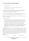## *The Grass Hotel* **by Craig Sherborne**

*Carry me, son. Do not leave me behind.*

*Are you listening to me?*

*Of course you're listening, you say, and add the F-word. Off you go to cope with a storm.*

*Lucerne armfuls for horses. For cows, plain hay.*

Alone in the paddocks of his grass hotel a man tends to his beloved horses, Socks and Boy. The voice of his mother—accusatory, fragmenting from dementia—haunts his every move, an excoriating reminder of his failures in the world of people.

*The Grass Hotel* is a story of damage and repair, of familial obligation and the resentments it can cause. It is also about the profound comfort that a connection with animals can offer.

With its extraordinary use of language, Craig Sherborne's novel is by turns savage and tender, raw and poetic: a small masterpiece.

Praise for Craig Sherborne:

'Sherborne's talents with narrative and poetry combine to produce a striking fiction…offering a unique, vivid portrait of his characters. With the crystallisation and compression of poetry, Sherborne explores ideas of property, freedom and loyalty, and produces a novel as beautiful in its conjunctions as the chandelier swinging over its landscapes.' *Australian* on *Tree Palace*

'A riveting piece of writing that is liable to transfix any reader who gets past the opening chapter…Sherborne is a breathtaking writer because he writes of unspeakable things with a kind of affectless gaucherie that dazzles the mind…this is an engulfing, heart-stopping book—a performance that dazzles the eyes and leaves the reader gasping for air.' *Age* on *The Amateur Science of Love*

**Craig Sherborne's** memoir *Hoi Polloi* was shortlisted for the Queensland and Victorian Premiers' Literary Awards. The follow-up, *Muck*, won the Queensland Literary Award for Non-fiction. Sherborne's debut novel, *The Amateur Science of Love*, won the Best Writing Prize in the 2012 Melbourne Prize for Literature and was shortlisted for the NSW and Victorian Premiers' Awards. He has also written two volumes of poetry, and his journalism and poetry have appeared in Australia's leading literary journals and anthologies. His two most recent novels are *Tree Palace,* shortlisted for the Miles Franklin Literary Award, and *Off the Record.*

**Rights Held:** World

| February 2022 | Manuscript available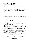## *World Shadow* **by Nir Baram**

### **TRANSLATED FROM THE HEBREW BY JESSICA COHEN**

A fast-paced novel about politics, money, power and corruption that holds a mirror up to the present day.

It's the mid-1990s. Gabriel Mantzur wants to take advantage of all the business opportunities opening up in Israel. Moving in political and financial circles, he finds his way into the upper reaches of power—but the higher he goes, the less he understands the intrigues in which he is involved.

Cut to the present. A group of young Londoners—homeless, unemployed and disaffected—is organising a worldwide strike to protest globalisation and inequality. Sick of being screwed over, they conspire to overturn the prevailing order.

Meanwhile, an eerily familiar American political consulting firm, with interests everywhere from Bolivia to the Congo, ostensibly exists to further liberal and progressive causes—until the veil is drawn back on the true nature of its activities.

With its masterly interwoven narrative strands and its global perspective, *World Shadow* confirms Nir Baram as a major writer on the world stage.

### Praise for *World Shadow:*

'The best novel Baram has written so far, a brilliant literary achievement. *World Shadow* is asking the most important questions of our time.' *Israel Today*

'A real literary achievement. Surely one of the most impressive novels written in Hebrew in the past years. It is a mind-blowing epos that raises big questions about the human spirit, democracy, morals and violence.' *Haaretz*

'One of the most ambitious novels I have ever read…You can hear in *World Shadow* echoes of *Underworld* by Don DeLillo.' *El País*

**Nir Baram** was born in Jerusalem in 1976. He is the author of five novels, including *Good People*, which was translated into English in 2016. His novels have been translated into more than ten languages and received critical acclaim around the world.

**Jessica Cohen** is a British-Israeli-American translator. She shared the 2017 Man Booker International Prize for translating David Grossman's 2014 novel *A Horse Walks into a Bar*.

| <b>Rights Held:</b> World English | Fiction | January 2022                                                                     | Manuscript available |
|-----------------------------------|---------|----------------------------------------------------------------------------------|----------------------|
|                                   |         | The Text Publishing Company, Melbourne, Australia<br>Frankfurt Rights Guide 2021 |                      |
|                                   |         | Textpublishing.com.au                                                            |                      |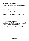## *Bootstrap* **by Georgina Young**

Set across rural Australia, futuristic Shanghai and ancient Crete, *Bootstrap* is both a thrilling race against time and a witty contemporary love story.

Jackson Sweeney is stewing in his tiny hometown, feeling stuck as he spends his days working at Al's Takeaway. His childhood friend Marnie returns to Ginsborough on her family's annual visit, but she's reeling from a break-up and is determined to lie low.

One night an odd-looking stranger shows up: long black hair, pointed features, hands deep in the pockets of a leather trench coat. He calls himself Bootstrap and says he's here to see the night Jackson Sweeney becomes a hero.

With that, Sweeney and Marnie find themselves swept up in an adventure they never could have imagined—with a fugitive from the future, pursued for a crime that he didn't commit. Or, at least, that's what he says.

Praise for *Loner*:

'I loved this razor-sharp, whip-smart, exquisitely funny debut.' Nina Kenwood

'Wry, funny and witty.' *Big Issue* 

'A story for the misfits…Instantly relatable.' *Herald Sun*

**Georgina Young** is a writer and designer living in Melbourne. She has had her work published in *Voiceworks* magazine, as well as in *Branches*, an anthology published by the Bowen Street Press. She won the Text Prize for her first novel, *Loner*, which was published in 2020.

**Rights Held:** World

May 2022 | Manuscript available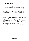## *The Fish* **by Lloyd Jones**

*Then she lifts the Fish up from the bassinet and holds him out to me.* 

*'Go on, take him.' And to the Fish she says, 'This is your uncle.'*

*It is a bit like catching a hastily thrown ball. She lets go before I am ready. But I manage to clap my hands either side of the fish bundle. I know I am supposed to hold the Fish tight. Maybe rub my cheek against his. But I feel like I am holding an expensive glass. Once you're told not to drop it, all you can think of is the glass shattering across the floor.* 

When his troubled sister's baby is born, in a shabby caravan at a remote beach park, the child is not like other babies. Not the kind of baby anyone expected: startling in his otherness. But one the family will try to protect and love and accept.

The Fish is central in the life of the young narrator as he tries to make sense of his family and its confusing secrets and shame, and to find his own way in the world.

Lloyd Jones brings his unique lyrical style to this mesmerising and tender story of family bonds, both strained and strengthened by tragedy.

**Lloyd Jones** has written novels, short stories and a memoir. He won the Commonwealth Writers' Prize and was shortlisted for the Man Booker Prize for his novel *Mister Pip*. His other books include *Hand Me Down World*, *A History of Silence* and *The Cage*. Lloyd lives in New Zealand.

**Rights Held:** World **Rights Sold:** New Zealand—Penguin Random House New Zealand **Option Publishers:** France—Actes Sud Fiction | March 2022 | Manuscript available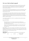## *The Secret Wife* **by Mark Lamprell**

In 1961, on the day that Yuri Gagarin becomes the first human to rocket into outer space, Edith Devine moves into her brand-new suburban home—and meets her new neighbour, Frankie Heyman. Frankie is a glamorous, sophisticated foil to the quiet, clever Edith, and the two housewives become firm friends.

Then, when Frankie's domineering husband Ralph refuses to let her get a job, Edith hatches a plan to keep her friend's household running while Frankie secretly goes out to work—and so Edith becomes Frankie's secret wife.

As Frankie builds a business empire, Edith runs both their homes: dusting, cleaning and cooking her way through the sexual revolution, the summer of love and the second wave of feminism. Throughout the 1960s, the world's great events seem to be mirrored in the lives of two women until the day in 1969 when the first humans step out onto the surface of the moon, and Frankie and Edith face a calamitous reckoning.

*The Secret Wife* is an irresistible story of fierce love, unconditional sacrifice and the transcendent power of pulling together.

Praise for *The Secret Wife:*

'What a gorgeous pair of women Lamprell has created in Frankie and Edith. By turns heartbreaking and hilarious—*The Secret Wife* is a tender love song to a decade that changed the world.' Kathryn Heyman, author of *Fury*

'Moving, wry and powerful, Mark Lamprell's compelling new novel is laden with secrets and brimming with wit, warmth and razor-sharp observations. I loved it.' Suzanne Leal, author of *The Teacher's Secre*t

**Mark Lamprell** is a writer of novels and children's books published in sixteen countries and twelve languages, including the novels *The Full Ridiculous* and *A Lover's Guide to Rome*. He also works internationally as a writer and director in film, with movie credits including *Babe: Pig in the City, My Mother Frank*, *Goddess, A Few Less Men* and *Never Too Late*.

### **Rights Held:** World **Option Publishers:** Canada—Anansi; Israel—Keter Books; Poland—Proszynski Media; USA— Counterpoint

Fiction **April 2022** Manuscript available December 2021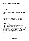## *To Grill a Mockingbird* **by Sue Williams**

*My shop bell rang. I glanced up, thinking it would just be Vern with another update on his Sunset-Over-The-Silos series. Vern's General Store and my shop constitute the CBD of Rusty Bore. Along with a row of much-photographed galvanised steel silos…at least by Vern.* 

*But it wasn't him. A woman—tall and slim with short, dark, spiky hair. Oversized sunglasses. She was wearing a pinstriped black trouser suit; white shirt blazing under the jacket. Long elegant legs, made even longer by soaring red heels.* 

*'Helen?' I dropped my Jex in surprise.* 

The last person Cass Tuplin expects to see in her shop, ordering a double bacon cheeseburger, is her sister Helen.

Helen, who left Rusty Bore thirty years ago and never looked back. Helen, who is a life coach and runs wellness seminars, who is now sitting inside Cass's shop smoking a cigarette and not eating her chips.

Helen is frazzled, that's for sure. A dead boyfriend, and all evidence is leading to her. Cass isn't even completely sure Helen hasn't done it—but either way, trouble is on the menu.

Praise for Sue Williams:

'Williams has put together a recipe for madcap adventure, the main ingredient an engaging female lead whose nosiness solves the mysteries of her tiny hometown.' *Adelaide Advertiser* on *Dead Men Don't Order Flake*

'Sue Williams is Australia's answer to New Jersey's Janet Evanovich. Both mix murder with mirth, and both feature semi-competent female investigators who bounce in and out of trouble…Great light entertainment.' *New Zealand Listener*

**Sue Williams** is the author of a crime series set in Rusty Bore, population 147. She was raised in country Victoria and hotly denies this provided any inspiration for her writing. She is a science and travel writer and a chartered accountant who also holds a PhD in marine biology. These days, Sue lives in Melbourne with her husband. Her previous Cass Tuplin books are *Murder with the Lot, Dead Men Don't Order Flake* and *Live and Let Fry*.

**Rights Held:** World

Fiction  $\vert$  June 2022  $\vert$  Manuscript available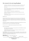## *The Carnival Is Over* **by Greg Woodland**

*'Dan Makepeace?' Mick walked over. Dan grunted, pointing a long finger into a back room. A smell wafted from it, of vomit, human excreta and something acrid and chemical: the aromas of death.*

*'She's in there?'*

*'Where d'you think she bloody is?' he said, his voice a swirling soup of emotions: rage, shock, grief, confusion. Goodenough lowered his hand gently onto Dan's shoulder. The sharp angles of his face seemed to soften and melt like wax.* 

*'I told her…she oughta leave…she hated the place,' he gasped between sobs.*

*'This house?' Mick said, unsurprised, glancing down the hall towards shoddy rooms in need of a good paint job—or demolition.*

*'The bloody abattoir!' he roared, and glared at the scratched purple fibro wall, pulling his fist back as if he'd like to do the job himself.*

September, 1971.

Spring has finally hit Moorabool, draping the winter streets and back roads with bright yellow explosions of wattle and creamy eucalyptus blooms. Hal is doing his best to try and get out of town, but in the meantime he's working at the local abattoir, where there is definitely something dodgy going on.

But meatworks corruption is one thing. Murder is quite another. How deep do the town's secrets go? When Hal starts to work it out, he finds himself in terrible danger.

*The Carnival Is Over* is a nostalgic triumph, simmering with small-town menace.

Praise for Greg Woodland:

'This coming-of-age crime tale balances its more gruesome turns with relatable human warmth.' *Books+Publishing* on *The Night Whistler*

'Troubling undercurrents swirl in a seductively involving story of small-town secrets and obsessions.' Garry Disher on *The Night Whistler*

**Greg Woodland** is an author, screenwriter and director. Since 2000 he's worked as a freelance script editor and consultant for film funding bodies and the Australian Writers' Guild. His first novel, *The Night Whistler*, was shortlisted for a Ned Kelly Award.

**Rights Held:** World **Option Publishers:** France—Editions Belfond; Russia—AST Fiction **August 2022** Manuscript available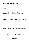## *Bodies of Light* **by Jennifer Down**

*So by the grace of a photograph that had inexplicably gone viral, Tony had found me. Or: he'd found Maggie.* 

*I had no way of knowing whether he was nuts or not; whether he might go to the cops. Maybe that sounds paranoid, but I don't think it's so ridiculous. People have gone to prison for much lesser things than accusations of child-killing.*

Born in 1990, Jennifer Down already has published a highly regarded novel and book of stories. *Bodies of Light* is the novel that fulfils the promise of this early work.

It turns a single human life into an epic story, a hugely readable book that traverses the darkest territory, a book that fulfils fiction's promise to immerse us in the realities of another identity.

*Bodies of Light* tracks the life of Maggie: from her childhood shuttled from one abusive care home to another; to domestic happiness that ends in tragedy; to the arms of a passionate woman in New Zealand; and to a new existence in the USA—only for her to find that she can't leave her old self behind so easily.

This is the story of a life in full, detailed, wrenching, sensuous and compelling. It's about trauma and heartbreak, memory and loss, the refusal to do anything but survive, no matter the odds.

Praise for Jennifer Down:

'A brilliant, sharply observed and deeply affecting epic that secures Down's status as one of the best writers in Australia today.' *Books+Publishing* on *Bodies of Light*

'Mesmerising, uncompromising and extraordinary.' Robbie Arnott on *Bodies of Light*

'Down writes about love and friendship with an emotionally resonant sparseness…A collection pulsing with emotion; a writer crackling with potential.' *Kirkus Reviews* on *Pulse Points*

**Jennifer Down** was named a *Sydney Morning Herald* Young Novelist of the Year in 2017 and 2018. *Our Magic Hour*, her debut novel, was shortlisted for the Victorian Premier's Literary Award for an unpublished manuscript, the Voss Literary Prize and a NSW Premier's Literary Award. Her second book, *Pulse Points*, was the winner of the Readings Prize for New Australian Fiction and the Steele Rudd Award for a Short Story Collection in the Queensland Literary Awards. She lives in Naarm/Melbourne.

**Rights Held:** World

Fiction | October 2021 | Finished copies available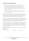## *Childhood* **by Shannon Burns**

*This is what I think I know: my father met my mother while he was dating her sister. Their love was figured on betrayal, both hostile and libidinous. She was in her late teens. He was twenty and travelled everywhere barefoot. Neither had finished high school and both were decorated with amateur tattoos. Things may have been good for a while, but it didn't last: they argued fiercely and he left. Weeks later, she tracked him down and said she was pregnant. So he moved back in, and they prepared themselves for parenthood.*

*Eleven months later I was born. By the time my father discovered the deception, it was too late. There is something chastening about this mode of conception, about knowing that, by most ordinary standards, your beginning was aberrant.*

In this arresting memoir, Shannon Burns recalls a childhood bouncing between dysfunctional homes in outer-suburban Adelaide, between impoverished family members unwilling or unable to care for him. Aged nine, he beats his head against the floor to get himself to sleep. Aged ten, he knows his mother will never be able to care for him: he is alone, and can trust no-one.

Five years later, he is working in a recycling centre—hard labour, poorly paid—yet reading offers hope. He begins reciting lines from Dante, Keats, Whitman, speeches by Martin Luther King, while sifting through the filthy cans and bottles. An affair with the mother of a schoolfriend offers a way out, a path to eventual independence and a life utterly unlike the one he was born into.

'I want to imagine the past,' Burns says, 'in order to discard it more fully. I want to ensure that its power over me is diluted even further, to forestall the possibility of a more damaging reckoning.' He writes concisely, sketching crisp scenes that often terrify in their brutality. Possessing a clarity of purpose and vividness of expression that bring to mind Raimond Gaita's *Romulus, My Father*, this book is destined to be a classic.

**Shannon Burns** is a writer and critic from Adelaide. His work has appeared in the *Monthly*, *Meanjin* and *Australian Book Review*.

**Rights Held:** World

Fiction | September 2022 | Manuscript available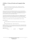# *Childless: A Story of Freedom and Longing* **by Sian Prior**

*I always wanted to have children. The earth might be in trouble—overpopulated, descending into ecological crisis—but I was always sure my kids would help make the world a better place. I would be a green-feminist supermum, having it all.*

*Nothing turned out the way I expected.*

Like many women, Sian Prior arrived at the point where she was ready to start having babies and found they were not hers to have. Three miscarriages with a supportive partner; a new partner who already had all the children he wanted; step-children; step-grandchildren; the decision to parent solo, followed by many rounds of fertility treatments.

After all this Sian found herself, at fifty, childless and coming to terms. Weighing up the freedoms against the losses. Dealing with the unacknowledged legacy of her own lost father. Observing parenthood itself—how we succeed at it and how we fail—from a perspective outside the trenches.

Compelling, moving, beautifully written and unexpectedly uplifting, *Childless* is her story.

Praise for Sian Prior:

'A fascinating meditation on how temperament can shape a person's life.' *Books+Publishing* on *Shy*

'Charming and beautifully evoked…' *Weekend Australian* on *Shy*

**Sian Prior** is a Melbourne-based writer, broadcaster, musician and creative-writing teacher. She has been an ABC radio host and a regular columnist for the *Age*/*Sydney Morning Herald*. Her first book, *Shy: A Memoir* was published in 2014.

**Rights Held:** World

Non-fiction April 2022 Manuscript available January 2022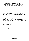## *The Novel Project* **by Graeme Simsion**

*'Writing is easy: All you do is sit staring at a blank sheet of paper until drops of blood form on your forehead.' Variously attributed to Thomas Wolfe, sportswriter Paul Gallico and, inevitably, Ernest Hemingway, the quote portrays writing as mysterious, romantic, tortuous and, implicitly, unteachable.*

*This book is about another approach, based on established theories of creativity and design, and on the experience of authors, including me, who—preferring to save the drama for the story—have adopted a more structured and reliable process.*

*It's aimed at those who want to write a book for publication, or at least one that others will want to read.* 

Graeme Simsion's books have been published into forty-five territories and the Rosie series has sold almost six million copies worldwide. Now he offers an entertaining masterclass on writing.

*The Novel Project* is at once a primer, a writer's diary and a gift to aspiring authors of what an established novelist knows. With his trademark wit, Simsion explains how to develop a novel from its initial idea: how to build the plot and characters and, once the draft is complete, how to work with an editor. Drawing on diaries that Simsion kept while writing the Rosie series, *The Novel Project* is part how-to guide, part inside view into a writer's process. Simsion strikes the perfect balance between inviting writers to explore strategies that might work for them and revealing the methods that work for him.

*The Novel Project* is the perfect guide for anyone who wants to write a book and get it published.

Praise for Graeme Simsion's fiction:

'An extraordinarily clever, funny, and moving book…This is one of the most profound novels I've read in a long time.' Bill Gates on *The Rosie Project*

'[A] romantic comedy that's just as smart, funny and heartwarming as the original.' *Washington Post* on *The Rosie Effect*

'Fiction as good as it gets…Laugh-out-loud funny.' *New York Times* on *The Rosie Result*

**Graeme Simsion** is the internationally bestselling author of *The Rosie Project*, *The Rosie Effect*, *The Rosie Result* and *The Best of Adam Sharp*. He lives with Anne Buist, his co-author of *Two Steps Forward* and *Two Steps Onward*, in Melbourne.

**Rights Held:** World

March 2022 | Manuscript available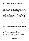# *Elizabeth Macarthur's Letters* **edited by Kate Grenville**

The first collection of the fascinating, historically significant correspondence of Elizabeth Macarthur, a pioneer in Sydney of the early 1800s and wife of the notorious John Macarthur.

These letters were the starting point for Kate Grenville's bestselling novel *A Room Made of Leaves*. They inspired the portrait of her imagined Elizabeth Macarthur: shrewd, subtle, passionate. And they offer a glimpse into the complex inner life of one of our most powerful foremothers. Yet, until now, a general reader could only access a handful of them.

This book offers an edited selection, with commentary from Grenville, of the many letters Elizabeth Macarthur wrote 'home' from colonial Sydney over her long life—letters in which we can hear the voice of a remarkable woman. Circumstances confronted her with huge challenges, but also gave her opportunities unknown to most women of the time. It was a life of tumult, of griefs and joys—all faced with spirit, and recorded in this lively and engaging correspondence.

Praise for *A Room Made of Leaves*:

'Grenville invites the reader to reflect on the complex relationship between truth and falsehood, history and fiction…[A] stunning literary achievement.' *Guardian*

'Grenville's Macarthur is an unforgettable character who makes us question everything we thought we knew about our colonial past.' Clare Wright, author of *The Forgotten Rebels of Eureka*

'An almost flawless novel about our early colonial history told through the fictional eyes of Elizabeth Macarthur…Beautifully realised.' Heather Rose, author of *The Museum of Modern Love*

**Kate Grenville** is one of Australia's most celebrated writers. Her international bestseller *The Secret River* was awarded local and overseas prizes, has been adapted for the stage and as an acclaimed television miniseries, and is now a much-loved classic. Grenville's other novels include *Sarah Thornhill*, *The Lieutenant*, *Dark Places* and the Orange Prize winner *The Idea of Perfection*. Her most recent books are two works of non-fiction*, One Life: My Mother's Story* and *The Case Against Fragrance*, and the novel *A Room Made of Leaves*, which won a New South Wales Premier's Literary Award. She has also written three books about the writing process. In 2017 Grenville was awarded the Australia Council Award for Lifetime Achievement in Literature. She lives in Melbourne.

### **Rights Held:** World

**Option Publishers:** UK and Comm. (ex. ANZ & Canada)—Canongate; Germany—Nagel & Kimche Verlag; Italy—Neri Pozza Editore; Lithuania—Briedis; Russia—AST<br>Non-fiction | April 2022 | Manuscri Manuscript available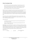## *Desire* **by Jessie Cole**

*What to do with the intensity of longing that occasionally arises? Sometimes I hug my pup so hard he growls. When my pup growls, I see I need to find some other way of letting off steam. It's easy to imagine I could just touch myself and be done with it, but no matter how many times I make myself come, that feeling of wanting doesn't subside. A friend has a term for the need for touch—'skin hungry'. Lots of people live without sex, but I find it a kind of deprivation.* 

What does it mean to be awakened? To want? To love? Jessie Cole is in her late thirties when she meets a man twenty years older than she is. They become lovers. Both passionate and companionable, fraught and uneven, their relationship tests her fears and anxieties. Through their interstate affair, through bushfires and the pandemic, she learns about herself, how her initiations into womanhood shaped who she is now, and how the shadow of family trauma still inhabits her body.

Jessie Cole has written an unabashed, thrilling exploration of the very nature of desire, a story about vulnerability and strength, loss and regeneration. A memoir of the body, *Desire* is a visceral book in which feeling and desire are laid bare.

Praise for Jessie Cole:

'A wounded, lovely, luminous book about grief, trauma and the strange healing potential of words.' Tim Winton on *Staying*

'Graceful, revealing, pitch-perfect. Cole is an author who pays sharp attention to the world around her.' *Australian* on *Deeper Water*

**Jessie Cole** grew up in an isolated valley in northern New South Wales and still lives in the house of her childhood. Her first novel, *Darkness on the Edge of Town*, was shortlisted for the 2013 ALS Gold Medal and longlisted for the Dobbie Literary Award. Her second novel, *Deeper Water*, was released in 2014 to much critical acclaim. Her memoir, *Staying*, was longlisted for the Colin Roderick Award and shortlisted for the 2019 Victorian Premier's Literary Award for Non-Fiction.

### **Rights Held:** World

Non-fiction August 2022 Manuscript available June 2022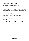## *Dancing Barefoot* **by Alice Boyle**

Winner of the 2021 Text Prize for Young Adult and Children's Writing

*Dancing Barefoot* is a story about finding love, figuring out your place in the world, and learning to embrace the challenges life throws in your path.

Patch feels out of place at Mountford College: she wears the wrong clothes, she's on a scholarship, and she has an embarrassingly persistent crush on Evie Vanhoutte, popular girl and golden child. Evie has no idea Patch exists until one day, a chance encounter sparks a friendship that's equal parts exhilarating, terrifying, and very, very confusing.

As if that weren't enough to deal with, Patch is also trying to avoid a vindictive school bully, forgetting to be supportive of her transitioning best friend, Edwin, and worrying about a potential new stepmother turning out to be the evil Baroness from *The Sound of Music*.

**Alice Boyle** is an English teacher and author living in Naarm/Melbourne. She's written for *SBS Voices* and the Stella Prize, and her short story 'The Exchange' was published in the anthology *Growing Up Queer in Australia*. In 2019 she was highly commended for the Wheeler Centre's Next Chapter program.

```
Rights Held: World
```
Young adult fiction | September 2022 | Manuscript available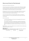## *Unnecessary Drama* **by Nina Kenwood**

Brooke likes order, she likes lists, she likes rules.

The first and only rule of her new sharehouse is 'no unnecessary drama'. Which means no fights, no tension, and absolutely no romance with housemates Penny and Jesse. That's fine by Brooke, because she has plans. This is going to be her year: her first year of university, the year she's moved to Melbourne, and the year she's going to live up to all of her potential.

But things get off to a bad start: university isn't what she thought it would be; she's desperately homesick, chronically anxious and, to add to her problems, Brooke might be developing inconvenient romantic feelings for off-limits housemate Jesse.

*Unnecessary Drama* follows Brooke as she navigates friendship, romance, ex-best friends, exboyfriends, housemates, her own overly anxious tendencies and what it means to find a home away from home.

Praise for Nina Kenwood:

'A sweet, funny and relatable account of the dramas of those grappling with late adolescence.' *Age* on *It Sounded Better in My Head*

'The novel perfectly captures the terror of being in-between, caught both in the liminal space between adolescence and adulthood, and in that befuddling period where a friendship might be turning into something more. A perfect pick for fans of Jenny Han's *To All the Boys I've Loved Before* who are looking for their next quirky romantic heroine.' Booklist on *It Sounded Better in My Head*

**Nina Kenwood** is a writer who lives in Melbourne. She won the 2018 Text Prize for her debut young adult novel, *It Sounded Better in My Head.*

### **Rights Held:** World

**Option Publishers:** France—Pocket Jeunesse; Germany—Carlsen Verlag; Hungary—Móra; Italy— De Agostini; Spain & Catalan—Planeta; North America—Flatiron

| Young adult fiction | October 2022 | Manuscript available<br>November 2021 |
|---------------------|--------------|---------------------------------------|
|                     |              |                                       |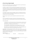# *If Not Us* **by Mark Smith**

Hesse lives in a small coastal town, where a coalmine and power station are a part of the scenery, and a part of the ever-growing problem of climate change.

His mother is a member of a local environmental group campaigning to close the mine and shut down the power station. It's a no-brainer, of course, but Hesse is more interested in surfing—and in Fenna, the new exchange student from the Netherlands. But when someone seems to be trying to derail the campaign, and his friends' families face losing their jobs, Hesse begins to realise that things are complex.

Even though he's reluctant to step into the spotlight, with Fenna's encouragement he decides it's time to make a stand. Because some things are too important to leave to everyone else. And even one small, nervous voice can make a difference.

When Hesse agrees to speak at a protest meeting he has no idea of the storm he is about to unleash.

*If Not Us* is Mark Smith's first standalone young adult novel following his hugely successful Winter trilogy. This book is an impassioned plea for climate action that will inspire and empower.

Praise for Mark Smith:

'A riveting story of survival that questions the prices of freedom and safety as well as the value of an individual life…A breakout new series full of romance, danger, and a surprisingly engaging world.' *Kirkus Reviews*, starred review, on *The Road to Winter*

'Tense and atmospheric…Mark Smith's debut is assured, gripping and leaves you wanting more.' Best Books for Younger Readers 2016, *Sydney Morning Herald* on *The Road to Winter*

'Mark Smith writes in a taut style that keeps the pages turning…Absorbing entertainment, this is what most young folk would look for in reading.' *Magpies* on *Wilder Country*

**Mark Smith** is an award-winning author. He lives, works and surfs on Victoria's Surf Coast. The first book in his acclaimed Winter trilogy, *The Road to Winter*, is widely taught in secondary schools and loved by readers of all ages, and *Wilder Country*, the second book of the trilogy, won the 2018 Indie Book of the Year for Young Adults.

### **Rights Held:** World

Young adult fiction  $\vert$  October 2021  $\vert$  Finished copies available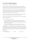# *The Brink* **by Holden Sheppard**

A brilliant new novel by a rising star of young adult fiction.

When Leonardo Kontos' friends cancel their end-of-school celebrations, his ambitious father arranges for him to go on a trip with another group of kids from his school. Geeky, asthmatic, shy and suffering from a serious panic disorder, Leonardo feels very awkward among the cool crowd.

When they arrive, full of dangerous energy, on a remote island, the teenagers quickly turn to drugs and alcohol to get the party started. When a local turns up dead, things quickly get out of hand. Scared that they will be accused, they leave their gruesome discovery on the beach. As morning breaks and the body is discovered, blame and fear set in.

Caught up in a messy situation of lies and coverups the teenagers quickly form unlikely alliances, turn on each other and expose powerful secrets, with devastating consequences.

*The Brink* is a dark and gritty novel that delves into masculinity, sexuality, mental health, drug and alcohol use, relationships and sex.

Praise for Holden Sheppard and *Invisible Boys*:

'The characters leap off the page, warts and all, and Sheppard writes with complexity and realism about sexual discovery, family and social rejection, coming of age (and coming out). A galvanising read for adolescents, and frank about the issues raised by queer teens in a way they'll appreciate.' *Sydney Morning Herald*

'Sheppard writes with unflinching honesty and an eye for authentic detail. It all makes for an impressive debut that's thoroughly deserving of the accolades it has received.' *Weekend West*

**Holden Sheppard** is an award-winning author born in Geraldton, Western Australia. His debut novel, *Invisible Boys* (Fremantle Press, 2019), was published to both critical and commercial success. *Invisible Boys* was shortlisted for the Victorian Premier's Literary Awards and was named a Notable Book by the Children's Book Council of Australia. The novel is currently in development as a television series.

**Rights Held:** World

August 2022 | Manuscript available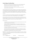## *Social Queue* **by Kay Kerr**

*Maia waves me over to her desk. It's one of the plush ones in the corner, and it's decorated as though she knows she is secure in her position here. Lots of photos, stacks of nice stationery. With her staggering ability to break exclusive news on the regular, it's no wonder.*

*'So it turns out you're a bit of a heartbreaker, Zoe Kelly,' she says, opening up a document filled with what look like web comments and links.*

Zoe has just finished school and started an internship at a local newspaper. Her first assignment is to write about romance, but where to begin? Zoe hasn't been in love. She doesn't think anyone has ever even liked her. So when her article is published and she's contacted by a number of young men who were interested in her in their schooldays, Zoe realises that somehow she had missed the social cues.

*Social Queue* is a funny-serious story about being a young autistic woman navigating the dating scene and sorting out complex and often confusing feelings on the road to finding love.

Kay Kerr's debut novel, *Please Don't Hug Me,* was beloved by readers for its portrayal of the life of an autistic teenager. Her second novel, *Social Queue*, is another heartwarming contemporary young adult novel with huge appeal for neuro-diverse and neuro-typical readers alike.

### Praise for *Kay Kerr:*

'A perceptive, honest, and warmly captivating romantic comedy that touched my heart. I adored it! ' Helen Hoang, author of *The Kiss Quotient*

'This book is beautifully intimate, and so authentic. You're going to love getting to know its central character, Erin. I'm so thrilled this book exists.' Claire Christian, author of *Beautiful Mess Gaps* on *Please Don't Hug Me*

'A moving and insightful story about finding your place in the world.' Nina Kenwood, author of *It Sounded Better in My Head Gaps* on *Please Don't Hug Me*

'This Australian debut about a young woman who is shaped—but not defined—by her autism, balances its funny and serious sides perfectly, and is a heartwarming read about self-acceptance and authenticity.' Leanne Hall, author of *The Gaps* on *Please Don't Hug Me*

**Kay Kerr** lives on the Sunshine Coast with her husband and daughter, and works as a freelance writer. Kay was writing the first draft of *Please Don't Hug Me*, her first novel, when she received her own autism-spectrum diagnosis.

| Rights Held: World |                     |
|--------------------|---------------------|
|                    | Young adult fiction |

on | October 2021 | Finished copies available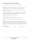## *Growing Up in Flames* **by Zach Jones**

*I've heard of Noah the way you hear about car accidents. A series of whispers, theories and rumours…*

Kenna's mother, Ava, was killed in a bushfire not long ago. Now Kenna's living with her uncle and his young family in the small town where Ava grew up, and she feels like an intruder.

Noah's mother has a mental illness that makes him both carer and jailer—constantly watchful, keeping things on an even keel.

One night Kenna sees the general store on fire, and a boy standing watching as it burns. It takes her a while to notice he's holding a petrol can, but then things move fast. She's tackled him and run off with his bag before she even knows what's happened.

The bag belongs to Noah, and he really wants it back.

Kenna wants something too. To make someone else burn the way her mum did.

And there's something she doesn't know: how Noah can help her find out the truth about her family.

**Zach Jones** has been an acrobat and a psychologist, and has taught Shakespeare in prisons, but his wife, Aneeka, is the best thing that ever happened to him. He spends his time running around after their six children and making up stories in his head. He completed his doctorate in creative writing at the University of the Sunshine Coast, and now lives on the north coast of NSW. This is his first novel.

**Rights Held:** World

March 2022 | Manuscript available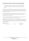## *The Museum of Broken Things* **by Lauren Draper**

*I didn't always live here. Not so long ago I was living in a thriving metropolis with more than one coffee shop on each block and four full bars of reception. I went to Heathmont High School, home to one thousand students, two best friends, a deeply average orchestra, and one cursed statue. Well, allegedly.*

Reece still isn't used to living in the small beachside town of Hamilton: she misses her old school, her old friends and her old life. She can't go back and she can't move: nothing feels right anymore. She's grieving the death of her beloved grandmother and wondering if she should give up on her dream of becoming a surgeon.

But when Reece inherits a strange artefact that belonged to her grandmother, she begins to unravel a mystery that might change the way she feels about everything around her, including her maddeningly attractive classmate, Gideon…

A lively, witty novel about letting go of the past and finding your place in the world, *The Museum of Broken Things* introduces a dazzling new voice in contemporary fiction.

**Lauren Draper** is a writer based in Melbourne. Her work has appeared in *Dumbo Feather* and *Kill Your Darlings*, and her commercial-fiction manuscript was longlisted in the 2019 Richell Prize. She has worked in the publishing industry for the past five years and is currently the marketing manager at Hardie Grant Egmont.

### **Rights Held:** World

Young adult fiction  $\vert$  June 2022 Manuscript available November 2021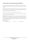## *All the Little Tricky Things* **by Karys McEwen**

It's the start of the summer holidays and eleven-year-old Bertie is worried. Next year she's going to a high school in the city, while all her friends stay behind in Merri, the small town she's lived in all her life.

To help her feel better prepared for high school, her best friend, Claire, makes a list of eleven tasks Bertie has to complete over the summer. They start working through the list together, but the tasks begin to reveal some of the cracks in their friendship.

Now Bertie's not even sure she'll have one friend by the end of the summer.

*All the Little Tricky Things* is a charming, heartfelt novel about a time when everything is changing, and a girl who's trying to make sense of it all.

**Karys McEwen** is the current president of the Victorian branch of the Children's Book Council of Australia. She is also a school librarian, and she is passionate about the role libraries and literature play in the wellbeing of young people. She has been a columnist for *Books+Publishing* and her work has appeared in library journals such as *FYI*, *Synergy* and *Connections*. *All the Little Tricky Things* is her debut middle-grade novel.

```
Rights Held: World
```
Middle-grade fiction | May 2022 Manuscript available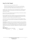## *Sugar* **by Carly Nugent**

*What's yours is yours for a reason. Luck has nothing to do with it.*

*Some people get exactly what they deserve. And, as it turns out, I deserve to be called Persephone. No simple-to-sound-out* Pride and Prejudice *style name like Elizabeth or Jane for me. Nope. Demi had to go Greek. Define 'Persephone'. Bringer of destruction. That pretty much sums it up.*

Persephone is angry. Angry that her life revolves around finger-prick tests, carbohydrate counts and insulin injections. Angry at Alexander Manson. Angry with her mum for lots of things, for nothing and for everything.

But most of all, she's angry with herself. For deserving it all. Because of what she did, or didn't do. Because one year ago she caused her dad's death.

But then Persephone finds a body on a bush path, a young woman she doesn't know but feels a strong connection to. And as she tries to find out what happened to Sylvia, Persephone begins to understand her own place in the complex interconnectedness of the universe.

*Sugar* is the story of a sixteen-year-old girl trying to make sense of the life-changing events that have sent her world into a spin, her search for a reason behind it all, and ultimately her acceptance of life's randomness.

**Carly Nugent** lives in Bright in Victoria. Her short fiction has featured in numerous publications, including the *Bellevue Literary Review* and *Award Winning Australian Writing*. Her first novel, *The Peacock Detectives*, won the Readings Children's Book Prize, was a CBCA Honour Book, and was shortlisted for the Text Prize, the Australian Book Design Awards and the Sisters in Crime Davitt Awards. *Sugar*, her first book for young adults, is inspired by her own experience of having type-1 diabetes.

**Rights Held:** World **Option publishers:** North America—HarperCollins Young adult fiction April 2022 Manuscript available

November 2021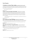## **Text Classics**

### *A Kindness Cup* **by Thea Astley, introduced by Kate Grenville**

Two decades after a massacre of local Aboriginal people, the former residents of a Queensland town have reunited to celebrate the progress and prosperity of their community—but Tom Dorahy, recently returned to his hometown, wants those responsible to own up to their actions. A reckoning with oppression, guilt and the weight of the past, *A Kindness Cup* is one of Thea Astley's greatest achievements.

'Smart, compassionate.' *New York Times*

### **Rights Held:** World

### *Lilian's Story* **by Kate Grenville, introduced by Toni Collette**

Inspired by the legendary Sydney bohemian Bea Miles, Kate Grenville's much-loved debut novel recounts the life of the irrepressible Lilian Una Singer: from wealthy middle-class girlhood under the rule of a monstrous father, to outspoken independence in adulthood, and eventually sleeping rough on the city's streets in later years, her spirit undaunted. Bold, exuberant and richly imaginative, *Lilian's Story* was acclaimed as a masterpiece on its publication in 1985. It is unforgettable.

'A work of considerable beauty and power…An uncompromising vision…told with honesty and virtuosity.' *New York Times Book Review*

### **Rights Held:** World

### *I for Isobel* **by Amy Witting, introduced by Charlotte Wood**

Born into a world without welcome, Isobel observes it as warily as an alien trying to pass for a native. Her collection of imaginary friends includes the Virgin Mary and Sherlock Holmes. Later she meets Byron, W. H. Auden and T. S. Eliot.

'Amy Witting is comparable to Jean Rhys, but she has more starch, or vinegar. The effect is bracing.' *New Yorker*

**Rights Held:** World

**Rights Sold:** Japan—Iwanami Shoten Publishers; Italy—Garzanti

## *The Quiet Earth* **by Craig Harrison, introduced by Bernard**

### **Beckett**

John Hobson wakes one morning to find his watch stopped at 6.12. The streets are deserted, there are no signs of life or death anywhere, and every clock he finds has stopped: at 6.12. Is Hobson the last person left on the planet? Inventive and suspenseful, *The Quiet Earth* is a confronting journey into the future—and a dark past.

'Excellent…The inevitability of the horror has a Hitchcock quality.' *Listener*

**Rights Held:** World **Rights Sold:** Film—Triptych Pictures; Turkey—Ayrinti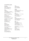### **Text Publishing Agents**

#### **Baltic Region**

Tatjana Zoldnere Andrew Nurnberg Associates PO Box 77, Riga LV 1011, Latvia Phone: +371 6 7506 495 Email: zoldnere@anab.apollo.lv

#### **Brazil**

Laura Rif The Riff Agency Avenida Calógeras, no. 6, sala 1007, Centro, Rio de Janeiro RJ, 20030-070, Brazil Phone: +55 21 2287 6299 Email: laura@agenciarif.com.br

### **China, Taiwan and South East Asia**

Gray Tan The Grayhawk Agency 5F, No. 109-7, Sec 3 Xinyi Road, Taipei 10658 Taiwan Phone: +886 2 2705 9231 Email: grayhawk@grayhawk-agency.com

#### **Czech Republic and Slovak Republic**

Kristin Olson Kristin Olson Literary Agency Klimentská 24, 110 00 Praha 1 Czech Republic Phone +420 222 582 042 Email: kristin.olson@litag.cz

#### **France**

Eliane Benisti Eliane Benisti Agency 80 Rue des Saints-Pères 75007 Paris, France Phone: +33 1 42 22 85 33 Email: eliane@elianebenisti.com

#### **German Language**

Christian Dittus [adult titles] Antonia Fritz [children's & YA titles] Paul & Peter Fritz AG Seefeldstrasse 303, CH-8008, Zürich, Switzerland Phone: +41 1 44 388 4140 Email: afritz@fritzagency.com Email: cdittus@fritzagency.com

#### **Greece**

Evangelia Avioniti Ersilia Literary Agency Phone: +30 693 8454 332 Email: info@ersilialit.com

#### **Hungary**

Peter Bolza Kátai & Bolza Literary Agents H-1056 Budapest, Szerb u. 17-19 Hungary Phone: +36 1 456 0313 Email: peter@kataibolza.hu

### **Israel**

Beverley Levit The Israeli Association of Book Publishers 29 Carlebach Street Tel Aviv, 67132, Israel Phone: +972 3 5614121 (ext 123) Email: rights1@tbpai.co.il

### **Italy**

Erica Berla Berla & Griffini Rights Agency via Gian Giacomo Mora 7, 20123 Milano, Italy Phone: +39 02 80 50 41 79 Email: berla@bgagency.it

### **Japan**

Maiko Fujinaga Japan Uni Agency, Inc. Tokyodo Jinbacho, no. 2 Building 1-27 Kanda Jinbo-cho Chiyoda-ku, Tokyo 101-0051, Japan Phone: +81 3 3295 0301 Email: maiko.fujinaga@japanuni.co.jp

Hamish Macaskill The English Agency (Japan) Ltd. Sakuragi Bldg. 4F 6-7-3 Minami Aoyama, Minato-ku Tokyo 107-0062, Japan Phone: +81 3 3406 5385 Email: hamish@eaj.co.jp